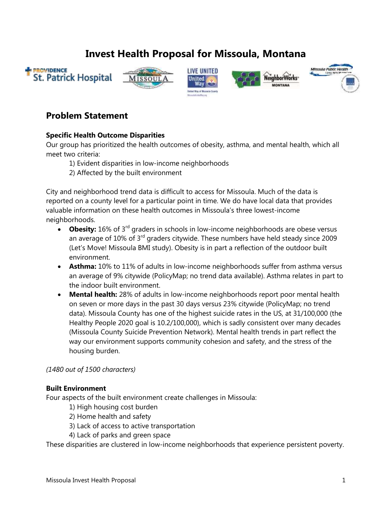# **Invest Health Proposal for Missoula, Montana**











## **Problem Statement**

### **Specific Health Outcome Disparities**

Our group has prioritized the health outcomes of obesity, asthma, and mental health, which all meet two criteria:

- 1) Evident disparities in low-income neighborhoods
- 2) Affected by the built environment

City and neighborhood trend data is difficult to access for Missoula. Much of the data is reported on a county level for a particular point in time. We do have local data that provides valuable information on these health outcomes in Missoula's three lowest-income neighborhoods.

- **Obesity:** 16% of 3<sup>rd</sup> graders in schools in low-income neighborhoods are obese versus an average of  $10\%$  of  $3<sup>rd</sup>$  graders citywide. These numbers have held steady since 2009 (Let's Move! Missoula BMI study). Obesity is in part a reflection of the outdoor built environment.
- **Asthma:** 10% to 11% of adults in low-income neighborhoods suffer from asthma versus an average of 9% citywide (PolicyMap; no trend data available). Asthma relates in part to the indoor built environment.
- **Mental health:** 28% of adults in low-income neighborhoods report poor mental health on seven or more days in the past 30 days versus 23% citywide (PolicyMap; no trend data). Missoula County has one of the highest suicide rates in the US, at 31/100,000 (the Healthy People 2020 goal is 10.2/100,000), which is sadly consistent over many decades (Missoula County Suicide Prevention Network). Mental health trends in part reflect the way our environment supports community cohesion and safety, and the stress of the housing burden.

### *(1480 out of 1500 characters)*

#### **Built Environment**

Four aspects of the built environment create challenges in Missoula:

- 1) High housing cost burden
- 2) Home health and safety
- 3) Lack of access to active transportation
- 4) Lack of parks and green space

These disparities are clustered in low-income neighborhoods that experience persistent poverty.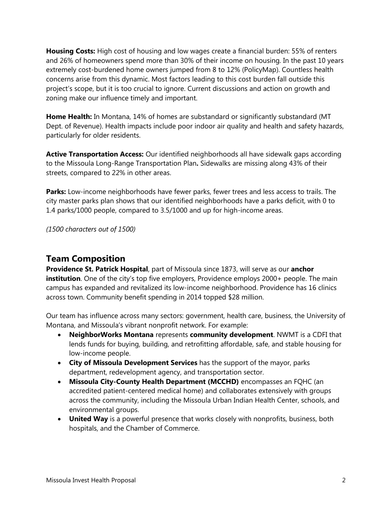**Housing Costs:** High cost of housing and low wages create a financial burden: 55% of renters and 26% of homeowners spend more than 30% of their income on housing. In the past 10 years extremely cost-burdened home owners jumped from 8 to 12% (PolicyMap). Countless health concerns arise from this dynamic. Most factors leading to this cost burden fall outside this project's scope, but it is too crucial to ignore. Current discussions and action on growth and zoning make our influence timely and important.

**Home Health:** In Montana, 14% of homes are substandard or significantly substandard (MT Dept. of Revenue). Health impacts include poor indoor air quality and health and safety hazards, particularly for older residents.

**Active Transportation Access:** Our identified neighborhoods all have sidewalk gaps according to the Missoula Long-Range Transportation Plan**.** Sidewalks are missing along 43% of their streets, compared to 22% in other areas.

**Parks:** Low-income neighborhoods have fewer parks, fewer trees and less access to trails. The city master parks plan shows that our identified neighborhoods have a parks deficit, with 0 to 1.4 parks/1000 people, compared to 3.5/1000 and up for high-income areas.

*(1500 characters out of 1500)*

## **Team Composition**

**Providence St. Patrick Hospital**, part of Missoula since 1873, will serve as our **anchor institution**. One of the city's top five employers, Providence employs 2000+ people. The main campus has expanded and revitalized its low-income neighborhood. Providence has 16 clinics across town. Community benefit spending in 2014 topped \$28 million.

Our team has influence across many sectors: government, health care, business, the University of Montana, and Missoula's vibrant nonprofit network. For example:

- **NeighborWorks Montana** represents **community development**. NWMT is a CDFI that lends funds for buying, building, and retrofitting affordable, safe, and stable housing for low-income people.
- **City of Missoula Development Services** has the support of the mayor, parks department, redevelopment agency, and transportation sector.
- **Missoula City-County Health Department (MCCHD)** encompasses an FQHC (an accredited patient-centered medical home) and collaborates extensively with groups across the community, including the Missoula Urban Indian Health Center, schools, and environmental groups.
- **United Way** is a powerful presence that works closely with nonprofits, business, both hospitals, and the Chamber of Commerce.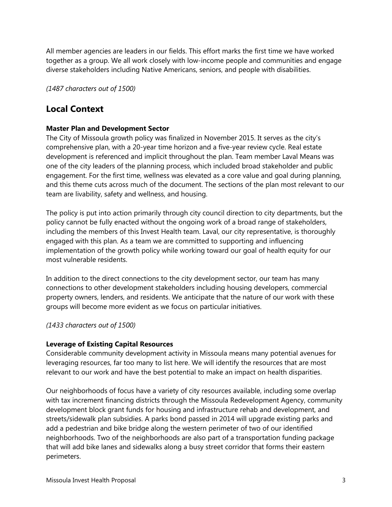All member agencies are leaders in our fields. This effort marks the first time we have worked together as a group. We all work closely with low-income people and communities and engage diverse stakeholders including Native Americans, seniors, and people with disabilities.

*(1487 characters out of 1500)*

## **Local Context**

### **Master Plan and Development Sector**

The City of Missoula growth policy was finalized in November 2015. It serves as the city's comprehensive plan, with a 20-year time horizon and a five-year review cycle. Real estate development is referenced and implicit throughout the plan. Team member Laval Means was one of the city leaders of the planning process, which included broad stakeholder and public engagement. For the first time, wellness was elevated as a core value and goal during planning, and this theme cuts across much of the document. The sections of the plan most relevant to our team are livability, safety and wellness, and housing.

The policy is put into action primarily through city council direction to city departments, but the policy cannot be fully enacted without the ongoing work of a broad range of stakeholders, including the members of this Invest Health team. Laval, our city representative, is thoroughly engaged with this plan. As a team we are committed to supporting and influencing implementation of the growth policy while working toward our goal of health equity for our most vulnerable residents.

In addition to the direct connections to the city development sector, our team has many connections to other development stakeholders including housing developers, commercial property owners, lenders, and residents. We anticipate that the nature of our work with these groups will become more evident as we focus on particular initiatives.

### *(1433 characters out of 1500)*

### **Leverage of Existing Capital Resources**

Considerable community development activity in Missoula means many potential avenues for leveraging resources, far too many to list here. We will identify the resources that are most relevant to our work and have the best potential to make an impact on health disparities.

Our neighborhoods of focus have a variety of city resources available, including some overlap with tax increment financing districts through the Missoula Redevelopment Agency, community development block grant funds for housing and infrastructure rehab and development, and streets/sidewalk plan subsidies. A parks bond passed in 2014 will upgrade existing parks and add a pedestrian and bike bridge along the western perimeter of two of our identified neighborhoods. Two of the neighborhoods are also part of a transportation funding package that will add bike lanes and sidewalks along a busy street corridor that forms their eastern perimeters.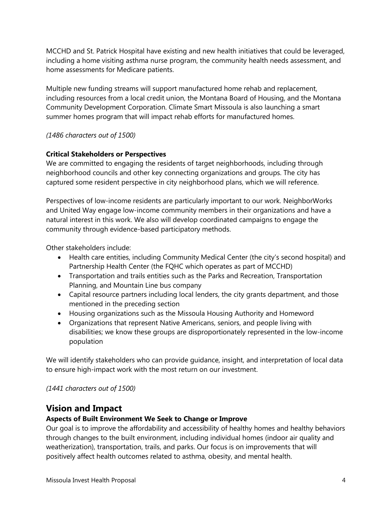MCCHD and St. Patrick Hospital have existing and new health initiatives that could be leveraged, including a home visiting asthma nurse program, the community health needs assessment, and home assessments for Medicare patients.

Multiple new funding streams will support manufactured home rehab and replacement, including resources from a local credit union, the Montana Board of Housing, and the Montana Community Development Corporation. Climate Smart Missoula is also launching a smart summer homes program that will impact rehab efforts for manufactured homes.

### *(1486 characters out of 1500)*

### **Critical Stakeholders or Perspectives**

We are committed to engaging the residents of target neighborhoods, including through neighborhood councils and other key connecting organizations and groups. The city has captured some resident perspective in city neighborhood plans, which we will reference.

Perspectives of low-income residents are particularly important to our work. NeighborWorks and United Way engage low-income community members in their organizations and have a natural interest in this work. We also will develop coordinated campaigns to engage the community through evidence-based participatory methods.

Other stakeholders include:

- Health care entities, including Community Medical Center (the city's second hospital) and Partnership Health Center (the FQHC which operates as part of MCCHD)
- Transportation and trails entities such as the Parks and Recreation, Transportation Planning, and Mountain Line bus company
- Capital resource partners including local lenders, the city grants department, and those mentioned in the preceding section
- Housing organizations such as the Missoula Housing Authority and Homeword
- Organizations that represent Native Americans, seniors, and people living with disabilities; we know these groups are disproportionately represented in the low-income population

We will identify stakeholders who can provide guidance, insight, and interpretation of local data to ensure high-impact work with the most return on our investment.

*(1441 characters out of 1500)*

## **Vision and Impact**

### **Aspects of Built Environment We Seek to Change or Improve**

Our goal is to improve the affordability and accessibility of healthy homes and healthy behaviors through changes to the built environment, including individual homes (indoor air quality and weatherization), transportation, trails, and parks. Our focus is on improvements that will positively affect health outcomes related to asthma, obesity, and mental health.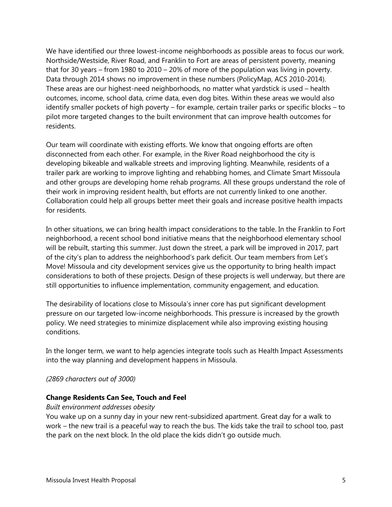We have identified our three lowest-income neighborhoods as possible areas to focus our work. Northside/Westside, River Road, and Franklin to Fort are areas of persistent poverty, meaning that for 30 years – from 1980 to 2010 – 20% of more of the population was living in poverty. Data through 2014 shows no improvement in these numbers (PolicyMap, ACS 2010-2014). These areas are our highest-need neighborhoods, no matter what yardstick is used – health outcomes, income, school data, crime data, even dog bites. Within these areas we would also identify smaller pockets of high poverty – for example, certain trailer parks or specific blocks – to pilot more targeted changes to the built environment that can improve health outcomes for residents.

Our team will coordinate with existing efforts. We know that ongoing efforts are often disconnected from each other. For example, in the River Road neighborhood the city is developing bikeable and walkable streets and improving lighting. Meanwhile, residents of a trailer park are working to improve lighting and rehabbing homes, and Climate Smart Missoula and other groups are developing home rehab programs. All these groups understand the role of their work in improving resident health, but efforts are not currently linked to one another. Collaboration could help all groups better meet their goals and increase positive health impacts for residents.

In other situations, we can bring health impact considerations to the table. In the Franklin to Fort neighborhood, a recent school bond initiative means that the neighborhood elementary school will be rebuilt, starting this summer. Just down the street, a park will be improved in 2017, part of the city's plan to address the neighborhood's park deficit. Our team members from Let's Move! Missoula and city development services give us the opportunity to bring health impact considerations to both of these projects. Design of these projects is well underway, but there are still opportunities to influence implementation, community engagement, and education.

The desirability of locations close to Missoula's inner core has put significant development pressure on our targeted low-income neighborhoods. This pressure is increased by the growth policy. We need strategies to minimize displacement while also improving existing housing conditions.

In the longer term, we want to help agencies integrate tools such as Health Impact Assessments into the way planning and development happens in Missoula.

*(2869 characters out of 3000)*

### **Change Residents Can See, Touch and Feel**

#### *Built environment addresses obesity*

You wake up on a sunny day in your new rent-subsidized apartment. Great day for a walk to work – the new trail is a peaceful way to reach the bus. The kids take the trail to school too, past the park on the next block. In the old place the kids didn't go outside much.